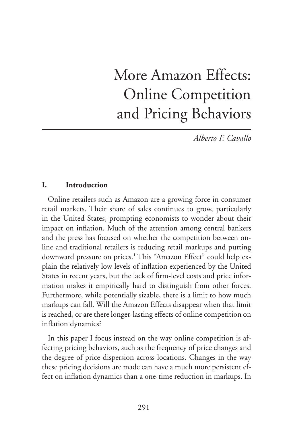# More Amazon Effects: Online Competition and Pricing Behaviors

*Alberto F. Cavallo*

#### **I. Introduction**

Online retailers such as Amazon are a growing force in consumer retail markets. Their share of sales continues to grow, particularly in the United States, prompting economists to wonder about their impact on inflation. Much of the attention among central bankers and the press has focused on whether the competition between online and traditional retailers is reducing retail markups and putting downward pressure on prices.1 This "Amazon Effect" could help explain the relatively low levels of inflation experienced by the United States in recent years, but the lack of firm-level costs and price information makes it empirically hard to distinguish from other forces. Furthermore, while potentially sizable, there is a limit to how much markups can fall. Will the Amazon Effects disappear when that limit is reached, or are there longer-lasting effects of online competition on inflation dynamics?

In this paper I focus instead on the way online competition is affecting pricing behaviors, such as the frequency of price changes and the degree of price dispersion across locations. Changes in the way these pricing decisions are made can have a much more persistent effect on inflation dynamics than a one-time reduction in markups. In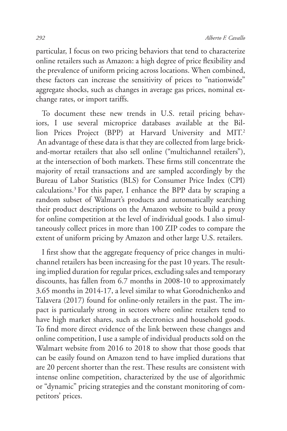particular, I focus on two pricing behaviors that tend to characterize online retailers such as Amazon: a high degree of price flexibility and the prevalence of uniform pricing across locations. When combined, these factors can increase the sensitivity of prices to "nationwide" aggregate shocks, such as changes in average gas prices, nominal exchange rates, or import tariffs.

To document these new trends in U.S. retail pricing behaviors, I use several microprice databases available at the Billion Prices Project (BPP) at Harvard University and MIT.<sup>2</sup> An advantage of these data is that they are collected from large brickand-mortar retailers that also sell online ("multichannel retailers"), at the intersection of both markets. These firms still concentrate the majority of retail transactions and are sampled accordingly by the Bureau of Labor Statistics (BLS) for Consumer Price Index (CPI) calculations.3 For this paper, I enhance the BPP data by scraping a random subset of Walmart's products and automatically searching their product descriptions on the Amazon website to build a proxy for online competition at the level of individual goods. I also simultaneously collect prices in more than 100 ZIP codes to compare the extent of uniform pricing by Amazon and other large U.S. retailers.

I first show that the aggregate frequency of price changes in multichannel retailers has been increasing for the past 10 years. The resulting implied duration for regular prices, excluding sales and temporary discounts, has fallen from 6.7 months in 2008-10 to approximately 3.65 months in 2014-17, a level similar to what Gorodnichenko and Talavera (2017) found for online-only retailers in the past. The impact is particularly strong in sectors where online retailers tend to have high market shares, such as electronics and household goods. To find more direct evidence of the link between these changes and online competition, I use a sample of individual products sold on the Walmart website from 2016 to 2018 to show that those goods that can be easily found on Amazon tend to have implied durations that are 20 percent shorter than the rest. These results are consistent with intense online competition, characterized by the use of algorithmic or "dynamic" pricing strategies and the constant monitoring of competitors' prices.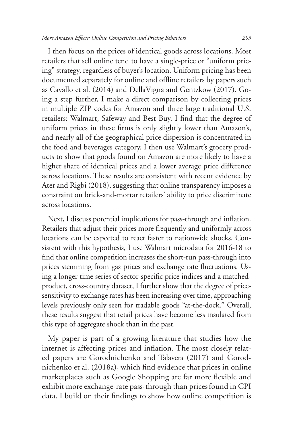I then focus on the prices of identical goods across locations. Most retailers that sell online tend to have a single-price or "uniform pricing" strategy, regardless of buyer's location. Uniform pricing has been documented separately for online and offline retailers by papers such as Cavallo et al. (2014) and DellaVigna and Gentzkow (2017). Going a step further, I make a direct comparison by collecting prices in multiple ZIP codes for Amazon and three large traditional U.S. retailers: Walmart, Safeway and Best Buy. I find that the degree of uniform prices in these firms is only slightly lower than Amazon's, and nearly all of the geographical price dispersion is concentrated in the food and beverages category. I then use Walmart's grocery products to show that goods found on Amazon are more likely to have a higher share of identical prices and a lower average price difference across locations. These results are consistent with recent evidence by Ater and Rigbi (2018), suggesting that online transparency imposes a constraint on brick-and-mortar retailers' ability to price discriminate across locations.

Next, I discuss potential implications for pass-through and inflation. Retailers that adjust their prices more frequently and uniformly across locations can be expected to react faster to nationwide shocks. Consistent with this hypothesis, I use Walmart microdata for 2016-18 to find that online competition increases the short-run pass-through into prices stemming from gas prices and exchange rate fluctuations. Using a longer time series of sector-specific price indices and a matchedproduct, cross-country dataset, I further show that the degree of pricesensitivity to exchange rates has been increasing over time, approaching levels previously only seen for tradable goods "at-the-dock." Overall, these results suggest that retail prices have become less insulated from this type of aggregate shock than in the past.

My paper is part of a growing literature that studies how the internet is affecting prices and inflation. The most closely related papers are Gorodnichenko and Talavera (2017) and Gorodnichenko et al. (2018a), which find evidence that prices in online marketplaces such as Google Shopping are far more flexible and exhibit more exchange-rate pass-through than prices found in CPI data. I build on their findings to show how online competition is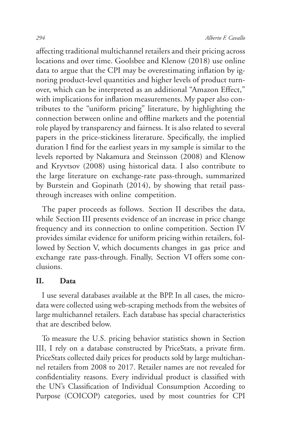affecting traditional multichannel retailers and their pricing across locations and over time. Goolsbee and Klenow (2018) use online data to argue that the CPI may be overestimating inflation by ignoring product-level quantities and higher levels of product turnover, which can be interpreted as an additional "Amazon Effect," with implications for inflation measurements. My paper also contributes to the "uniform pricing" literature, by highlighting the connection between online and offline markets and the potential role played by transparency and fairness. It is also related to several papers in the price-stickiness literature. Specifically, the implied duration I find for the earliest years in my sample is similar to the levels reported by Nakamura and Steinsson (2008) and Klenow and Kryvtsov (2008) using historical data. I also contribute to the large literature on exchange-rate pass-through, summarized by Burstein and Gopinath (2014), by showing that retail passthrough increases with online competition.

The paper proceeds as follows. Section II describes the data, while Section III presents evidence of an increase in price change frequency and its connection to online competition. Section IV provides similar evidence for uniform pricing within retailers, followed by Section V, which documents changes in gas price and exchange rate pass-through. Finally, Section VI offers some conclusions.

#### **II. Data**

I use several databases available at the BPP. In all cases, the microdata were collected using web-scraping methods from the websites of large multichannel retailers. Each database has special characteristics that are described below.

To measure the U.S. pricing behavior statistics shown in Section III, I rely on a database constructed by PriceStats, a private firm. PriceStats collected daily prices for products sold by large multichannel retailers from 2008 to 2017. Retailer names are not revealed for confidentiality reasons. Every individual product is classified with the UN's Classification of Individual Consumption According to Purpose (COICOP) categories, used by most countries for CPI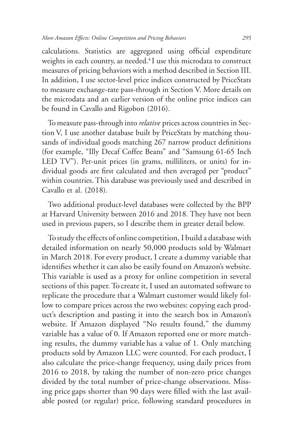calculations. Statistics are aggregated using official expenditure weights in each country, as needed. $4$ I use this microdata to construct measures of pricing behaviors with a method described in Section III. In addition, I use sector-level price indices constructed by PriceStats to measure exchange-rate pass-through in Section V. More details on the microdata and an earlier version of the online price indices can be found in Cavallo and Rigobon (2016).

To measure pass-through into *relative* prices across countries in Section V, I use another database built by PriceStats by matching thousands of individual goods matching 267 narrow product definitions (for example, "Illy Decaf Coffee Beans" and "Samsung 61-65 Inch LED TV"). Per-unit prices (in grams, milliliters, or units) for individual goods are first calculated and then averaged per "product" within countries. This database was previously used and described in Cavallo et al. (2018).

Two additional product-level databases were collected by the BPP at Harvard University between 2016 and 2018. They have not been used in previous papers, so I describe them in greater detail below.

To study the effects of online competition, I build a database with detailed information on nearly 50,000 products sold by Walmart in March 2018. For every product, I create a dummy variable that identifies whether it can also be easily found on Amazon's website. This variable is used as a proxy for online competition in several sections of this paper. To create it, I used an automated software to replicate the procedure that a Walmart customer would likely follow to compare prices across the two websites: copying each product's description and pasting it into the search box in Amazon's website. If Amazon displayed "No results found," the dummy variable has a value of 0. If Amazon reported one or more matching results, the dummy variable has a value of 1. Only matching products sold by Amazon LLC were counted. For each product, I also calculate the price-change frequency, using daily prices from 2016 to 2018, by taking the number of non-zero price changes divided by the total number of price-change observations. Missing price gaps shorter than 90 days were filled with the last available posted (or regular) price, following standard procedures in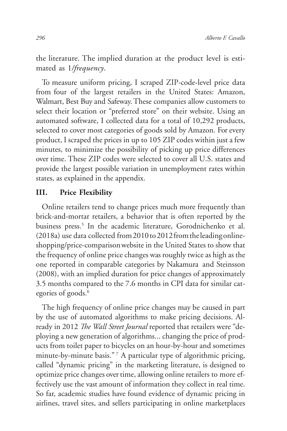the literature. The implied duration at the product level is estimated as 1*/frequency*.

To measure uniform pricing, I scraped ZIP-code-level price data from four of the largest retailers in the United States: Amazon, Walmart, Best Buy and Safeway. These companies allow customers to select their location or "preferred store" on their website. Using an automated software, I collected data for a total of 10,292 products, selected to cover most categories of goods sold by Amazon. For every product, I scraped the prices in up to 105 ZIP codes within just a few minutes, to minimize the possibility of picking up price differences over time. These ZIP codes were selected to cover all U.S. states and provide the largest possible variation in unemployment rates within states, as explained in the appendix.

#### **III. Price Flexibility**

Online retailers tend to change prices much more frequently than brick-and-mortar retailers, a behavior that is often reported by the business press.<sup>5</sup> In the academic literature, Gorodnichenko et al. (2018a) use data collected from 2010 to 2012 from the leading onlineshopping/price-comparison website in the United States to show that the frequency of online price changes was roughly twice as high as the one reported in comparable categories by Nakamura and Steinsson (2008), with an implied duration for price changes of approximately 3.5 months compared to the 7.6 months in CPI data for similar categories of goods.<sup>6</sup>

The high frequency of online price changes may be caused in part by the use of automated algorithms to make pricing decisions. Already in 2012 *The Wall Street Journal* reported that retailers were "deploying a new generation of algorithms... changing the price of products from toilet paper to bicycles on an hour-by-hour and sometimes minute-by-minute basis."<sup>7</sup> A particular type of algorithmic pricing, called "dynamic pricing" in the marketing literature, is designed to optimize price changes over time, allowing online retailers to more effectively use the vast amount of information they collect in real time. So far, academic studies have found evidence of dynamic pricing in airlines, travel sites, and sellers participating in online marketplaces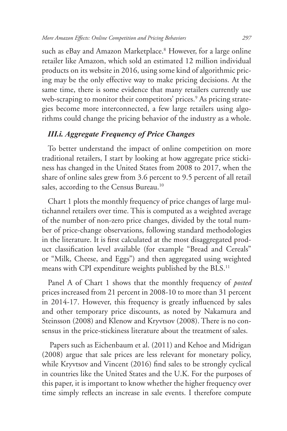such as eBay and Amazon Marketplace.<sup>8</sup> However, for a large online retailer like Amazon, which sold an estimated 12 million individual products on its website in 2016, using some kind of algorithmic pricing may be the only effective way to make pricing decisions. At the same time, there is some evidence that many retailers currently use web-scraping to monitor their competitors' prices.<sup>9</sup> As pricing strategies become more interconnected, a few large retailers using algorithms could change the pricing behavior of the industry as a whole.

#### *III.i. Aggregate Frequency of Price Changes*

To better understand the impact of online competition on more traditional retailers, I start by looking at how aggregate price stickiness has changed in the United States from 2008 to 2017, when the share of online sales grew from 3.6 percent to 9.5 percent of all retail sales, according to the Census Bureau.<sup>10</sup>

Chart 1 plots the monthly frequency of price changes of large multichannel retailers over time. This is computed as a weighted average of the number of non-zero price changes, divided by the total number of price-change observations, following standard methodologies in the literature. It is first calculated at the most disaggregated product classification level available (for example "Bread and Cereals" or "Milk, Cheese, and Eggs") and then aggregated using weighted means with CPI expenditure weights published by the BLS.<sup>11</sup>

Panel A of Chart 1 shows that the monthly frequency of *posted* prices increased from 21 percent in 2008-10 to more than 31 percent in 2014-17. However, this frequency is greatly influenced by sales and other temporary price discounts, as noted by Nakamura and Steinsson (2008) and Klenow and Kryvtsov (2008). There is no consensus in the price-stickiness literature about the treatment of sales.

 Papers such as Eichenbaum et al. (2011) and Kehoe and Midrigan (2008) argue that sale prices are less relevant for monetary policy, while Kryvtsov and Vincent (2016) find sales to be strongly cyclical in countries like the United States and the U.K. For the purposes of this paper, it is important to know whether the higher frequency over time simply reflects an increase in sale events. I therefore compute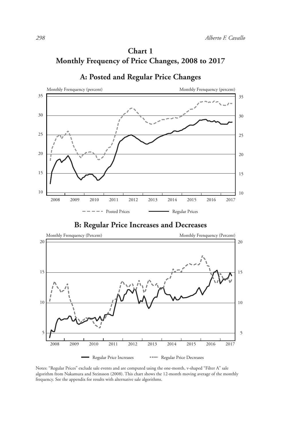# **Chart 1 Monthly Frequency of Price Changes, 2008 to 2017**



#### **A: Posted and Regular Price Changes**

**B: Regular Price Increases and Decreases**



Notes: "Regular Prices" exclude sale events and are computed using the one-month, v-shaped "Filter A" sale algorithm from Nakamura and Steinsson (2008). This chart shows the 12-month moving average of the monthly frequency. See the appendix for results with alternative sale algorithms.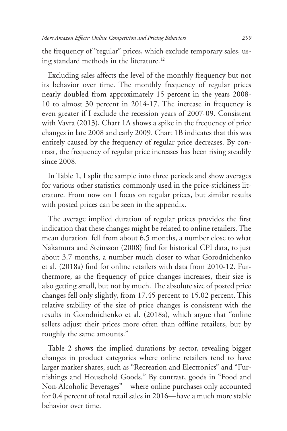the frequency of "regular" prices, which exclude temporary sales, using standard methods in the literature.<sup>12</sup>

Excluding sales affects the level of the monthly frequency but not its behavior over time. The monthly frequency of regular prices nearly doubled from approximately 15 percent in the years 2008- 10 to almost 30 percent in 2014-17. The increase in frequency is even greater if I exclude the recession years of 2007-09. Consistent with Vavra (2013), Chart 1A shows a spike in the frequency of price changes in late 2008 and early 2009. Chart 1B indicates that this was entirely caused by the frequency of regular price decreases. By contrast, the frequency of regular price increases has been rising steadily since 2008.

In Table 1, I split the sample into three periods and show averages for various other statistics commonly used in the price-stickiness literature. From now on I focus on regular prices, but similar results with posted prices can be seen in the appendix.

The average implied duration of regular prices provides the first indication that these changes might be related to online retailers. The mean duration fell from about 6.5 months, a number close to what Nakamura and Steinsson (2008) find for historical CPI data, to just about 3.7 months, a number much closer to what Gorodnichenko et al. (2018a) find for online retailers with data from 2010-12. Furthermore, as the frequency of price changes increases, their size is also getting small, but not by much. The absolute size of posted price changes fell only slightly, from 17.45 percent to 15.02 percent. This relative stability of the size of price changes is consistent with the results in Gorodnichenko et al. (2018a), which argue that "online sellers adjust their prices more often than offline retailers, but by roughly the same amounts."

Table 2 shows the implied durations by sector, revealing bigger changes in product categories where online retailers tend to have larger marker shares, such as "Recreation and Electronics" and "Furnishings and Household Goods." By contrast, goods in "Food and Non-Alcoholic Beverages"—where online purchases only accounted for 0.4 percent of total retail sales in 2016—have a much more stable behavior over time.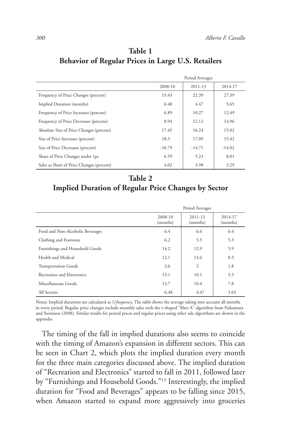|                                           | Period Averages |          |          |
|-------------------------------------------|-----------------|----------|----------|
|                                           | 2008-10         | 2011-13  | 2014-17  |
| Frequency of Price Changes (percent)      | 15.43           | 22.39    | 27.39    |
| Implied Duration (months)                 | 6.48            | 4.47     | 3.65     |
| Frequency of Price Increases (percent)    | 6.89            | 10.27    | 12.49    |
| Frequency of Price Decreases (percent)    | 8.94            | 12.12    | 14.96    |
| Absolute Size of Price Changes (percent)  | 17.45           | 16.24    | 15.02    |
| Size of Price Increases (percent)         | 18.3            | 17.09    | 15.42    |
| Size of Price Decreases (percent)         | $-16.79$        | $-14.71$ | $-14.02$ |
| Share of Price Changes under 1pc          | 6.59            | 5.23     | 8.01     |
| Sales as Share of Price Changes (percent) | 4.02            | 3.98     | 3.29     |

### **Table 1 Behavior of Regular Prices in Large U.S. Retailers**

# **Table 2 Implied Duration of Regular Price Changes by Sector**

|                                  | Period Averages     |                     |                     |
|----------------------------------|---------------------|---------------------|---------------------|
|                                  | 2008-10<br>(months) | 2011-13<br>(months) | 2014-17<br>(months) |
| Food and Non-Alcoholic Beverages | 6.4                 | 6.6                 | 6.4                 |
| Clothing and Footwear            | 6.2                 | 5.5                 | 5.3                 |
| Furnishings and Household Goods  | 14.2                | 12.9                | 5.9                 |
| Health and Medical               | 12.1                | 13.6                | 8.5                 |
| <b>Transportation Goods</b>      | 3.6                 | 2                   | 1.8                 |
| Recreation and Electronics       | 13.1                | 10.1                | 5.5                 |
| Miscellaneous Goods              | 13.7                | 10.4                | 7.8                 |
| All Sectors                      | 6.48                | 4.47                | 3.65                |

Notes: Implied durations are calculated as 1/*frequency*. The table shows the average taking into account all months in every period. Regular price changes exclude monthly sales with the v-shaped "filter A" algorithm from Nakamura and Steinsson (2008). Similar results for posted prices and regular prices using other sale algorithms are shown in the appendix.

The timing of the fall in implied durations also seems to coincide with the timing of Amazon's expansion in different sectors. This can be seen in Chart 2, which plots the implied duration every month for the three main categories discussed above. The implied duration of "Recreation and Electronics" started to fall in 2011, followed later by "Furnishings and Household Goods."13 Interestingly, the implied duration for "Food and Beverages" appears to be falling since 2015, when Amazon started to expand more aggressively into groceries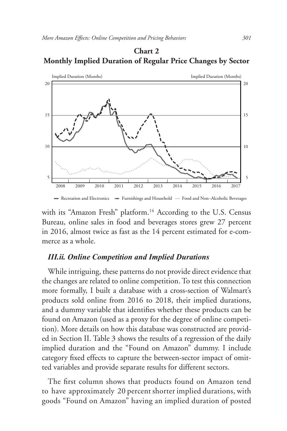#### **Chart 2 Monthly Implied Duration of Regular Price Changes by Sector**



- Recreation and Electronics Furnishings and Household Food and Non-Alcoholic Beverages

with its "Amazon Fresh" platform.<sup>14</sup> According to the U.S. Census Bureau, online sales in food and beverages stores grew 27 percent in 2016, almost twice as fast as the 14 percent estimated for e-commerce as a whole.

#### *III.ii. Online Competition and Implied Durations*

While intriguing, these patterns do not provide direct evidence that the changes are related to online competition. To test this connection more formally, I built a database with a cross-section of Walmart's products sold online from 2016 to 2018, their implied durations, and a dummy variable that identifies whether these products can be found on Amazon (used as a proxy for the degree of online competition). More details on how this database was constructed are provided in Section II. Table 3 shows the results of a regression of the daily implied duration and the "Found on Amazon" dummy. I include category fixed effects to capture the between-sector impact of omitted variables and provide separate results for different sectors.

The first column shows that products found on Amazon tend to have approximately 20 percent shorter implied durations, with goods "Found on Amazon" having an implied duration of posted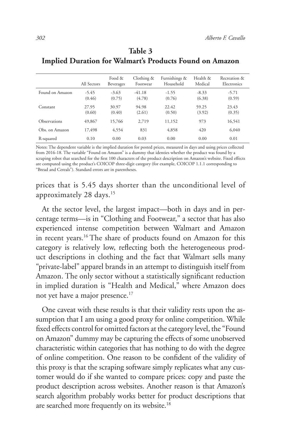|                 | All Sectors       | Food &<br>Beverages | Clothing &<br>Footwear | Furnishings &<br>Household | Health &<br>Medical | Recreation &<br>Electronics |
|-----------------|-------------------|---------------------|------------------------|----------------------------|---------------------|-----------------------------|
| Found on Amazon | $-5.45$<br>(0.46) | $-3.63$<br>(0.75)   | $-41.18$<br>(4.78)     | $-1.55$<br>(0.76)          | $-8.33$<br>(6.38)   | $-5.71$<br>(0.59)           |
| Constant        | 27.95<br>(0.60)   | 30.97<br>(0.40)     | 94.98<br>(2.61)        | 22.42<br>(0.50)            | 59.25<br>(3.92)     | 23.43<br>(0.35)             |
| Observations    | 49,867            | 15,766              | 2.719                  | 11,152                     | 973                 | 16,541                      |
| Obs. on Amazon  | 17.498            | 4,554               | 831                    | 4,858                      | 420                 | 6.040                       |
| R-squared       | 0.10              | 0.00                | 0.03                   | 0.00                       | 0.00                | 0.01                        |

### **Table 3 Implied Duration for Walmart's Products Found on Amazon**

Notes: The dependent variable is the implied duration for posted prices, measured in days and using prices collected from 2016-18. The variable "Found on Amazon" is a dummy that identies whether the product was found by a scraping robot that searched for the first 100 characters of the product description on Amazon's website. Fixed effects are computed using the product's COICOP three-digit category (for example, COICOP 1.1.1 corresponding to "Bread and Cereals"). Standard errors are in parentheses.

prices that is 5.45 days shorter than the unconditional level of approximately 28 days.15

At the sector level, the largest impact—both in days and in percentage terms—is in "Clothing and Footwear," a sector that has also experienced intense competition between Walmart and Amazon in recent years.16 The share of products found on Amazon for this category is relatively low, reflecting both the heterogeneous product descriptions in clothing and the fact that Walmart sells many "private-label" apparel brands in an attempt to distinguish itself from Amazon. The only sector without a statistically significant reduction in implied duration is "Health and Medical," where Amazon does not yet have a major presence.<sup>17</sup>

One caveat with these results is that their validity rests upon the assumption that I am using a good proxy for online competition. While fixed effects control for omitted factors at the category level, the "Found on Amazon" dummy may be capturing the effects of some unobserved characteristic within categories that has nothing to do with the degree of online competition. One reason to be confident of the validity of this proxy is that the scraping software simply replicates what any customer would do if she wanted to compare prices: copy and paste the product description across websites. Another reason is that Amazon's search algorithm probably works better for product descriptions that are searched more frequently on its website.18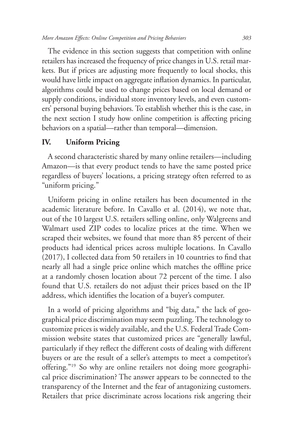*More Amazon Effects: Online Competition and Pricing Behaviors 303*

The evidence in this section suggests that competition with online retailers has increased the frequency of price changes in U.S. retail markets. But if prices are adjusting more frequently to local shocks, this would have little impact on aggregate inflation dynamics. In particular, algorithms could be used to change prices based on local demand or supply conditions, individual store inventory levels, and even customers' personal buying behaviors. To establish whether this is the case, in the next section I study how online competition is affecting pricing behaviors on a spatial—rather than temporal—dimension.

#### **IV. Uniform Pricing**

A second characteristic shared by many online retailers—including Amazon—is that every product tends to have the same posted price regardless of buyers' locations, a pricing strategy often referred to as "uniform pricing."

Uniform pricing in online retailers has been documented in the academic literature before. In Cavallo et al. (2014), we note that, out of the 10 largest U.S. retailers selling online, only Walgreens and Walmart used ZIP codes to localize prices at the time. When we scraped their websites, we found that more than 85 percent of their products had identical prices across multiple locations. In Cavallo (2017), I collected data from 50 retailers in 10 countries to find that nearly all had a single price online which matches the offline price at a randomly chosen location about 72 percent of the time. I also found that U.S. retailers do not adjust their prices based on the IP address, which identifies the location of a buyer's computer.

In a world of pricing algorithms and "big data," the lack of geographical price discrimination may seem puzzling. The technology to customize prices is widely available, and the U.S. Federal Trade Commission website states that customized prices are "generally lawful, particularly if they reflect the different costs of dealing with different buyers or are the result of a seller's attempts to meet a competitor's offering."19 So why are online retailers not doing more geographical price discrimination? The answer appears to be connected to the transparency of the Internet and the fear of antagonizing customers. Retailers that price discriminate across locations risk angering their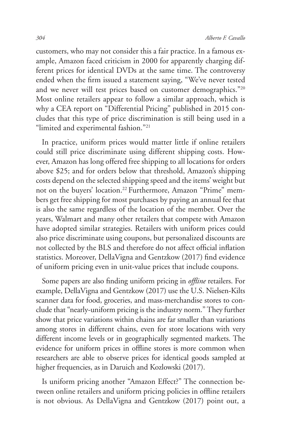customers, who may not consider this a fair practice. In a famous example, Amazon faced criticism in 2000 for apparently charging different prices for identical DVDs at the same time. The controversy ended when the firm issued a statement saying, "We've never tested and we never will test prices based on customer demographics."20 Most online retailers appear to follow a similar approach, which is why a CEA report on "Differential Pricing" published in 2015 concludes that this type of price discrimination is still being used in a "limited and experimental fashion."<sup>21</sup>

In practice, uniform prices would matter little if online retailers could still price discriminate using different shipping costs. However, Amazon has long offered free shipping to all locations for orders above \$25; and for orders below that threshold, Amazon's shipping costs depend on the selected shipping speed and the items' weight but not on the buyers' location.<sup>22</sup> Furthermore, Amazon "Prime" members get free shipping for most purchases by paying an annual fee that is also the same regardless of the location of the member. Over the years, Walmart and many other retailers that compete with Amazon have adopted similar strategies. Retailers with uniform prices could also price discriminate using coupons, but personalized discounts are not collected by the BLS and therefore do not affect official inflation statistics. Moreover, DellaVigna and Gentzkow (2017) find evidence of uniform pricing even in unit-value prices that include coupons.

Some papers are also finding uniform pricing in *offline* retailers. For example, DellaVigna and Gentzkow (2017) use the U.S. Nielsen-Kilts scanner data for food, groceries, and mass-merchandise stores to conclude that "nearly-uniform pricing is the industry norm." They further show that price variations within chains are far smaller than variations among stores in different chains, even for store locations with very different income levels or in geographically segmented markets. The evidence for uniform prices in offline stores is more common when researchers are able to observe prices for identical goods sampled at higher frequencies, as in Daruich and Kozlowski (2017).

Is uniform pricing another "Amazon Effect?" The connection between online retailers and uniform pricing policies in offline retailers is not obvious. As DellaVigna and Gentzkow (2017) point out, a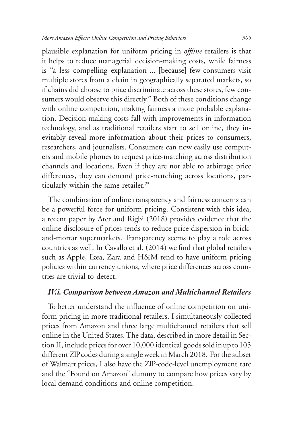plausible explanation for uniform pricing in *offline* retailers is that it helps to reduce managerial decision-making costs, while fairness is "a less compelling explanation ... [because] few consumers visit multiple stores from a chain in geographically separated markets, so if chains did choose to price discriminate across these stores, few consumers would observe this directly." Both of these conditions change with online competition, making fairness a more probable explanation. Decision-making costs fall with improvements in information technology, and as traditional retailers start to sell online, they inevitably reveal more information about their prices to consumers, researchers, and journalists. Consumers can now easily use computers and mobile phones to request price-matching across distribution channels and locations. Even if they are not able to arbitrage price differences, they can demand price-matching across locations, particularly within the same retailer.<sup>23</sup>

The combination of online transparency and fairness concerns can be a powerful force for uniform pricing. Consistent with this idea, a recent paper by Ater and Rigbi (2018) provides evidence that the online disclosure of prices tends to reduce price dispersion in brickand-mortar supermarkets. Transparency seems to play a role across countries as well. In Cavallo et al. (2014) we find that global retailers such as Apple, Ikea, Zara and H&M tend to have uniform pricing policies within currency unions, where price differences across countries are trivial to detect.

#### *IV.i. Comparison between Amazon and Multichannel Retailers*

To better understand the influence of online competition on uniform pricing in more traditional retailers, I simultaneously collected prices from Amazon and three large multichannel retailers that sell online in the United States. The data, described in more detail in Section II, include prices for over 10,000 identical goods sold in up to 105 different ZIP codes during a single week in March 2018. For the subset of Walmart prices, I also have the ZIP-code-level unemployment rate and the "Found on Amazon" dummy to compare how prices vary by local demand conditions and online competition.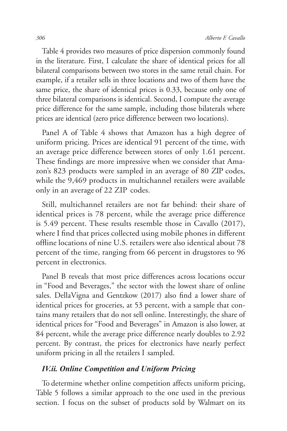Table 4 provides two measures of price dispersion commonly found in the literature. First, I calculate the share of identical prices for all bilateral comparisons between two stores in the same retail chain. For example, if a retailer sells in three locations and two of them have the same price, the share of identical prices is 0.33, because only one of three bilateral comparisons is identical. Second, I compute the average price difference for the same sample, including those bilaterals where prices are identical (zero price difference between two locations).

Panel A of Table 4 shows that Amazon has a high degree of uniform pricing. Prices are identical 91 percent of the time, with an average price difference between stores of only 1.61 percent. These findings are more impressive when we consider that Amazon's 823 products were sampled in an average of 80 ZIP codes, while the 9,469 products in multichannel retailers were available only in an average of 22 ZIP codes.

Still, multichannel retailers are not far behind: their share of identical prices is 78 percent, while the average price difference is 5.49 percent. These results resemble those in Cavallo (2017), where I find that prices collected using mobile phones in different offline locations of nine U.S. retailers were also identical about 78 percent of the time, ranging from 66 percent in drugstores to 96 percent in electronics.

Panel B reveals that most price differences across locations occur in "Food and Beverages," the sector with the lowest share of online sales. DellaVigna and Gentzkow (2017) also find a lower share of identical prices for groceries, at 53 percent, with a sample that contains many retailers that do not sell online. Interestingly, the share of identical prices for "Food and Beverages" in Amazon is also lower, at 84 percent, while the average price difference nearly doubles to 2.92 percent. By contrast, the prices for electronics have nearly perfect uniform pricing in all the retailers I sampled.

#### *IV.ii. Online Competition and Uniform Pricing*

To determine whether online competition affects uniform pricing, Table 5 follows a similar approach to the one used in the previous section. I focus on the subset of products sold by Walmart on its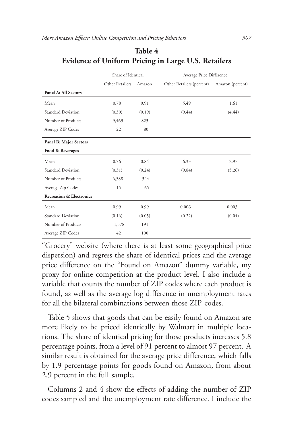|                                     | Share of Identical |        | Average Price Difference  |                  |
|-------------------------------------|--------------------|--------|---------------------------|------------------|
|                                     | Other Retailers    | Amazon | Other Retailers (percent) | Amazon (percent) |
| Panel A: All Sectors                |                    |        |                           |                  |
| Mean                                | 0.78               | 0.91   | 5.49                      | 1.61             |
| <b>Standard Deviation</b>           | (0.30)             | (0.19) | (9.44)                    | (4.44)           |
| Number of Products                  | 9,469              | 823    |                           |                  |
| Average ZIP Codes                   | 22                 | 80     |                           |                  |
| Panel B: Major Sectors              |                    |        |                           |                  |
| Food & Beverages                    |                    |        |                           |                  |
| Mean                                | 0.76               | 0.84   | 6.33                      | 2.97             |
| <b>Standard Deviation</b>           | (0.31)             | (0.24) | (9.84)                    | (5.26)           |
| Number of Products                  | 6,588              | 344    |                           |                  |
| Average Zip Codes                   | 15                 | 65     |                           |                  |
| <b>Recreation &amp; Electronics</b> |                    |        |                           |                  |
| Mean                                | 0.99               | 0.99   | 0.006                     | 0.003            |
| <b>Standard Deviation</b>           | (0.16)             | (0.05) | (0.22)                    | (0.04)           |
| Number of Products                  | 1,578              | 191    |                           |                  |
| Average ZIP Codes                   | 42                 | 100    |                           |                  |

#### **Table 4 Evidence of Uniform Pricing in Large U.S. Retailers**

"Grocery" website (where there is at least some geographical price dispersion) and regress the share of identical prices and the average price difference on the "Found on Amazon" dummy variable, my proxy for online competition at the product level. I also include a variable that counts the number of ZIP codes where each product is found, as well as the average log difference in unemployment rates for all the bilateral combinations between those ZIP codes.

Table 5 shows that goods that can be easily found on Amazon are more likely to be priced identically by Walmart in multiple locations. The share of identical pricing for those products increases 5.8 percentage points, from a level of 91 percent to almost 97 percent. A similar result is obtained for the average price difference, which falls by 1.9 percentage points for goods found on Amazon, from about 2.9 percent in the full sample.

Columns 2 and 4 show the effects of adding the number of ZIP codes sampled and the unemployment rate difference. I include the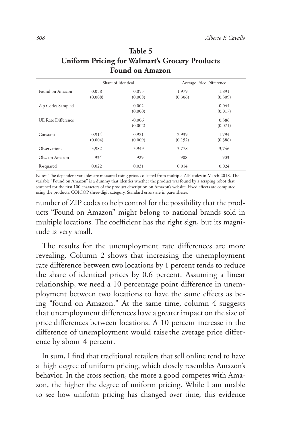|                    | Share of Identical |                     |                     | Average Price Difference |
|--------------------|--------------------|---------------------|---------------------|--------------------------|
| Found on Amazon    | 0.058<br>(0.008)   | 0.055<br>(0.008)    | $-1.979$<br>(0.306) | $-1.891$<br>(0.309)      |
| Zip Codes Sampled  |                    | 0.002<br>(0.000)    |                     | $-0.044$<br>(0.017)      |
| UE Rate Difference |                    | $-0.006$<br>(0.002) |                     | 0.386<br>(0.071)         |
| Constant           | 0.914<br>(0.004)   | 0.921<br>(0.009)    | 2.939<br>(0.152)    | 1.794<br>(0.386)         |
| Observations       | 3,982              | 3,949               | 3,778               | 3,746                    |
| Obs. on Amazon     | 934                | 929                 | 908                 | 903                      |
| R-squared          | 0.022              | 0.031               | 0.014               | 0.024                    |

# **Table 5 Uniform Pricing for Walmart's Grocery Products Found on Amazon**

Notes: The dependent variables are measured using prices collected from multiple ZIP codes in March 2018. The variable "Found on Amazon" is a dummy that identies whether the product was found by a scraping robot that searched for the first 100 characters of the product description on Amazon's website. Fixed effects are computed using the product's COICOP three-digit category. Standard errors are in parentheses.

number of ZIP codes to help control for the possibility that the products "Found on Amazon" might belong to national brands sold in multiple locations. The coefficient has the right sign, but its magnitude is very small.

The results for the unemployment rate differences are more revealing. Column 2 shows that increasing the unemployment rate difference between two locations by 1 percent tends to reduce the share of identical prices by 0.6 percent. Assuming a linear relationship, we need a 10 percentage point difference in unemployment between two locations to have the same effects as being "found on Amazon." At the same time, column 4 suggests that unemployment differences have a greater impact on the size of price differences between locations. A 10 percent increase in the difference of unemployment would raise the average price difference by about 4 percent.

In sum, I find that traditional retailers that sell online tend to have a high degree of uniform pricing, which closely resembles Amazon's behavior. In the cross section, the more a good competes with Amazon, the higher the degree of uniform pricing. While I am unable to see how uniform pricing has changed over time, this evidence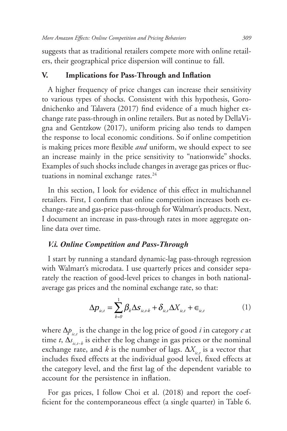suggests that as traditional retailers compete more with online retailers, their geographical price dispersion will continue to fall.

#### **V. Implications for Pass-Through and Inflation**

A higher frequency of price changes can increase their sensitivity to various types of shocks. Consistent with this hypothesis, Gorodnichenko and Talavera (2017) find evidence of a much higher exchange rate pass-through in online retailers. But as noted by DellaVigna and Gentzkow (2017), uniform pricing also tends to dampen the response to local economic conditions. So if online competition is making prices more flexible *and* uniform, we should expect to see an increase mainly in the price sensitivity to "nationwide" shocks. Examples of such shocks include changes in average gas prices or fluctuations in nominal exchange rates.<sup>24</sup>

In this section, I look for evidence of this effect in multichannel retailers. First, I confirm that online competition increases both exchange-rate and gas-price pass-through for Walmart's products. Next, I document an increase in pass-through rates in more aggregate online data over time.

#### *V.i. Online Competition and Pass-Through*

I start by running a standard dynamic-lag pass-through regression with Walmart's microdata. I use quarterly prices and consider separately the reaction of good-level prices to changes in both nationalaverage gas prices and the nominal exchange rate, so that:

$$
\Delta p_{i c,t} = \sum_{k=0}^{1} \beta_k \Delta s_{i c,t-k} + \delta_{i c,t} \Delta X_{i c,t} + \epsilon_{i c,t}
$$
 (1)

where Δ $p_{ict}$  is the change in the log price of good *i* in category *c* at time *t*, ∆*s ic,t−k* is either the log change in gas prices or the nominal exchange rate, and *k* is the number of lags.  $\Delta X_{i}$  is a vector that includes fixed effects at the individual good level, fixed effects at the category level, and the first lag of the dependent variable to account for the persistence in inflation.

For gas prices, I follow Choi et al. (2018) and report the coefficient for the contemporaneous effect (a single quarter) in Table 6.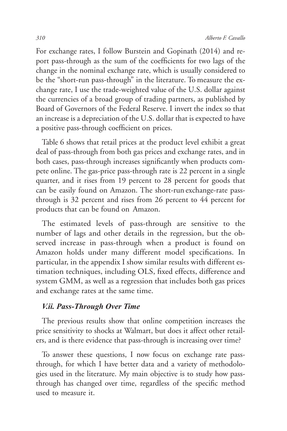For exchange rates, I follow Burstein and Gopinath (2014) and report pass-through as the sum of the coefficients for two lags of the change in the nominal exchange rate, which is usually considered to be the "short-run pass-through" in the literature. To measure the exchange rate, I use the trade-weighted value of the U.S. dollar against the currencies of a broad group of trading partners, as published by Board of Governors of the Federal Reserve. I invert the index so that an increase is a depreciation of the U.S. dollar that is expected to have a positive pass-through coefficient on prices.

Table 6 shows that retail prices at the product level exhibit a great deal of pass-through from both gas prices and exchange rates, and in both cases, pass-through increases significantly when products compete online. The gas-price pass-through rate is 22 percent in a single quarter, and it rises from 19 percent to 28 percent for goods that can be easily found on Amazon. The short-run exchange-rate passthrough is 32 percent and rises from 26 percent to 44 percent for products that can be found on Amazon.

The estimated levels of pass-through are sensitive to the number of lags and other details in the regression, but the observed increase in pass-through when a product is found on Amazon holds under many different model specifications. In particular, in the appendix I show similar results with different estimation techniques, including OLS, fixed effects, difference and system GMM, as well as a regression that includes both gas prices and exchange rates at the same time.

#### *V.ii. Pass-Through Over Time*

The previous results show that online competition increases the price sensitivity to shocks at Walmart, but does it affect other retailers, and is there evidence that pass-through is increasing over time?

To answer these questions, I now focus on exchange rate passthrough, for which I have better data and a variety of methodologies used in the literature. My main objective is to study how passthrough has changed over time, regardless of the specific method used to measure it.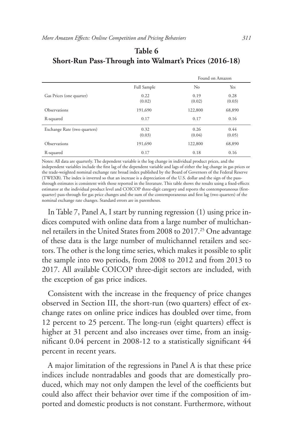|                              |             |                | Found on Amazon |  |
|------------------------------|-------------|----------------|-----------------|--|
|                              | Full Sample | N <sub>o</sub> | Yes             |  |
| Gas Prices (one quarter)     | 0.22        | 0.19           | 0.28            |  |
|                              | (0.02)      | (0.02)         | (0.03)          |  |
| Observations                 | 191,690     | 122,800        | 68,890          |  |
| R-squared                    | 0.17        | 0.17           | 0.16            |  |
| Exchange Rate (two quarters) | 0.32        | 0.26           | 0.44            |  |
|                              | (0.03)      | (0.04)         | (0.05)          |  |
| Observations                 | 191,690     | 122,800        | 68,890          |  |
| R-squared                    | 0.17        | 0.18           | 0.16            |  |

### **Table 6 Short-Run Pass-Through into Walmart's Prices (2016-18)**

Notes: All data are quarterly. The dependent variable is the log change in individual product prices, and the independent variables include the first lag of the dependent variable and lags of either the log change in gas prices or the trade-weighted nominal exchange rate broad index published by the Board of Governors of the Federal Reserve (TWEXB). The index is inverted so that an increase is a depreciation of the U.S. dollar and the sign of the passthrough estimates is consistent with those reported in the literature. This table shows the results using a fixed-effects estimator at the individual product level and COICOP three-digit category and reports the contemporaneous (firstquarter) pass-through for gas price changes and the sum of the contemporaneous and first lag (two quarters) of the nominal exchange rate changes. Standard errors are in parentheses.

In Table 7, Panel A, I start by running regression (1) using price indices computed with online data from a large number of multichannel retailers in the United States from 2008 to 2017.25 One advantage of these data is the large number of multichannel retailers and sectors. The other is the long time series, which makes it possible to split the sample into two periods, from 2008 to 2012 and from 2013 to 2017. All available COICOP three-digit sectors are included, with the exception of gas price indices.

Consistent with the increase in the frequency of price changes observed in Section III, the short-run (two quarters) effect of exchange rates on online price indices has doubled over time, from 12 percent to 25 percent. The long-run (eight quarters) effect is higher at 31 percent and also increases over time, from an insignificant 0.04 percent in 2008-12 to a statistically significant 44 percent in recent years.

A major limitation of the regressions in Panel A is that these price indices include nontradables and goods that are domestically produced, which may not only dampen the level of the coefficients but could also affect their behavior over time if the composition of imported and domestic products is not constant. Furthermore, without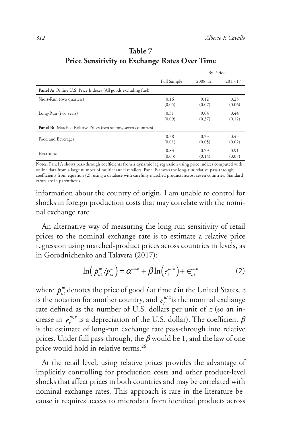|                                                                        |             | By Period |         |
|------------------------------------------------------------------------|-------------|-----------|---------|
|                                                                        | Full Sample | 2008-12   | 2013-17 |
| <b>Panel A:</b> Online U.S. Price Indexes (All goods excluding fuel)   |             |           |         |
| Short-Run (two quarters)                                               | 0.16        | 0.12      | 0.25    |
|                                                                        | (0.05)      | (0.07)    | (0.06)  |
| Long-Run (two years)                                                   | 0.31        | 0.04      | 0.44    |
|                                                                        | (0.09)      | (0.37)    | (0.12)  |
| <b>Panel B:</b> Matched Relative Prices (two sectors, seven countries) |             |           |         |
| Food and Beverages                                                     | 0.38        | 0.23      | 0.45    |
|                                                                        | (0.01)      | (0.05)    | (0.02)  |
| Electronics                                                            | 0.83        | 0.79      | 0.91    |
|                                                                        | (0.03)      | (0.14)    | (0.07)  |

# **Table 7 Price Sensitivity to Exchange Rates Over Time**

Notes: Panel A shows pass-through coefficients from a dynamic lag regression using price indices computed with online data from a large number of multichannel retailers. Panel B shows the long-run relative pass-through coefficients from equation (2), using a database with carefully matched products across seven countries. Standard errors are in parentheses.

information about the country of origin, I am unable to control for shocks in foreign production costs that may correlate with the nominal exchange rate.

An alternative way of measuring the long-run sensitivity of retail prices to the nominal exchange rate is to estimate a relative price regression using matched-product prices across countries in levels, as in Gorodnichenko and Talavera (2017):

$$
\ln\left(p_{i,t}^{us}/p_{i,t}^{z}\right) = \alpha^{us,z} + \beta \ln\left(e_i^{us,z}\right) + \epsilon_{i,t}^{us,z}
$$
 (2)

where  $p_{i,t}^{\text{us}}$  denotes the price of good *i* at time *t* in the United States, *z* is the notation for another country, and  $e_t^{\mu s,z}$  is the nominal exchange rate defined as the number of U.S. dollars per unit of *z* (so an increase in  $e_t^{us,z}$  is a depreciation of the U.S. dollar). The coefficient  $\beta$ is the estimate of long-run exchange rate pass-through into relative prices. Under full pass-through, the  $\beta$  would be 1, and the law of one price would hold in relative terms.<sup>26</sup>

At the retail level, using relative prices provides the advantage of implicitly controlling for production costs and other product-level shocks that affect prices in both countries and may be correlated with nominal exchange rates. This approach is rare in the literature because it requires access to microdata from identical products across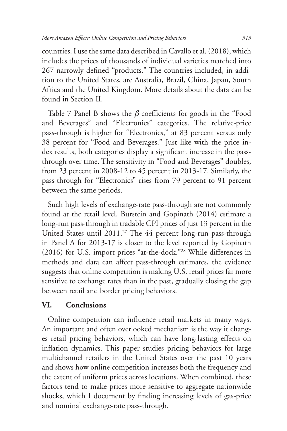countries. I use the same data described in Cavallo et al. (2018), which includes the prices of thousands of individual varieties matched into 267 narrowly defined "products." The countries included, in addition to the United States, are Australia, Brazil, China, Japan, South Africa and the United Kingdom. More details about the data can be found in Section II.

Table 7 Panel B shows the  $\beta$  coefficients for goods in the "Food" and Beverages" and "Electronics" categories. The relative-price pass-through is higher for "Electronics," at 83 percent versus only 38 percent for "Food and Beverages." Just like with the price index results, both categories display a significant increase in the passthrough over time. The sensitivity in "Food and Beverages" doubles, from 23 percent in 2008-12 to 45 percent in 2013-17. Similarly, the pass-through for "Electronics" rises from 79 percent to 91 percent between the same periods.

Such high levels of exchange-rate pass-through are not commonly found at the retail level. Burstein and Gopinath (2014) estimate a long-run pass-through in tradable CPI prices of just 13 percent in the United States until 2011.<sup>27</sup> The 44 percent long-run pass-through in Panel A for 2013-17 is closer to the level reported by Gopinath (2016) for U.S. import prices "at-the-dock."28 While differences in methods and data can affect pass-through estimates, the evidence suggests that online competition is making U.S. retail prices far more sensitive to exchange rates than in the past, gradually closing the gap between retail and border pricing behaviors.

#### **VI. Conclusions**

Online competition can influence retail markets in many ways. An important and often overlooked mechanism is the way it changes retail pricing behaviors, which can have long-lasting effects on inflation dynamics. This paper studies pricing behaviors for large multichannel retailers in the United States over the past 10 years and shows how online competition increases both the frequency and the extent of uniform prices across locations. When combined, these factors tend to make prices more sensitive to aggregate nationwide shocks, which I document by finding increasing levels of gas-price and nominal exchange-rate pass-through.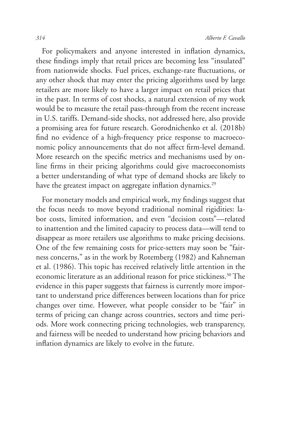For policymakers and anyone interested in inflation dynamics, these findings imply that retail prices are becoming less "insulated" from nationwide shocks. Fuel prices, exchange-rate fluctuations, or any other shock that may enter the pricing algorithms used by large retailers are more likely to have a larger impact on retail prices that in the past. In terms of cost shocks, a natural extension of my work would be to measure the retail pass-through from the recent increase in U.S. tariffs. Demand-side shocks, not addressed here, also provide a promising area for future research. Gorodnichenko et al. (2018b) find no evidence of a high-frequency price response to macroeconomic policy announcements that do not affect firm-level demand. More research on the specific metrics and mechanisms used by online firms in their pricing algorithms could give macroeconomists a better understanding of what type of demand shocks are likely to have the greatest impact on aggregate inflation dynamics.<sup>29</sup>

For monetary models and empirical work, my findings suggest that the focus needs to move beyond traditional nominal rigidities: labor costs, limited information, and even "decision costs"—related to inattention and the limited capacity to process data—will tend to disappear as more retailers use algorithms to make pricing decisions. One of the few remaining costs for price-setters may soon be "fairness concerns," as in the work by Rotemberg (1982) and Kahneman et al. (1986). This topic has received relatively little attention in the economic literature as an additional reason for price stickiness.<sup>30</sup> The evidence in this paper suggests that fairness is currently more important to understand price differences between locations than for price changes over time. However, what people consider to be "fair" in terms of pricing can change across countries, sectors and time periods. More work connecting pricing technologies, web transparency, and fairness will be needed to understand how pricing behaviors and inflation dynamics are likely to evolve in the future.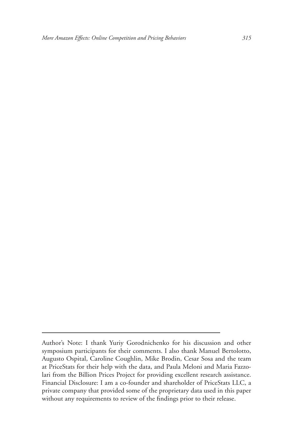Author's Note: I thank Yuriy Gorodnichenko for his discussion and other symposium participants for their comments. I also thank Manuel Bertolotto, Augusto Ospital, Caroline Coughlin, Mike Brodin, Cesar Sosa and the team at PriceStats for their help with the data, and Paula Meloni and Maria Fazzolari from the Billion Prices Project for providing excellent research assistance. Financial Disclosure: I am a co-founder and shareholder of PriceStats LLC, a private company that provided some of the proprietary data used in this paper without any requirements to review of the findings prior to their release.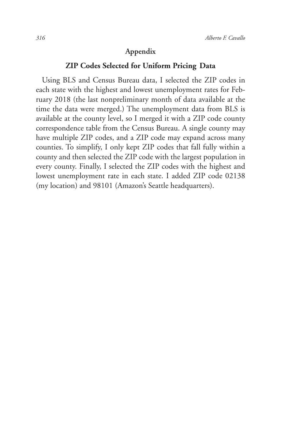#### **Appendix**

#### **ZIP Codes Selected for Uniform Pricing Data**

Using BLS and Census Bureau data, I selected the ZIP codes in each state with the highest and lowest unemployment rates for February 2018 (the last nonpreliminary month of data available at the time the data were merged.) The unemployment data from BLS is available at the county level, so I merged it with a ZIP code county correspondence table from the Census Bureau. A single county may have multiple ZIP codes, and a ZIP code may expand across many counties. To simplify, I only kept ZIP codes that fall fully within a county and then selected the ZIP code with the largest population in every county. Finally, I selected the ZIP codes with the highest and lowest unemployment rate in each state. I added ZIP code 02138 (my location) and 98101 (Amazon's Seattle headquarters).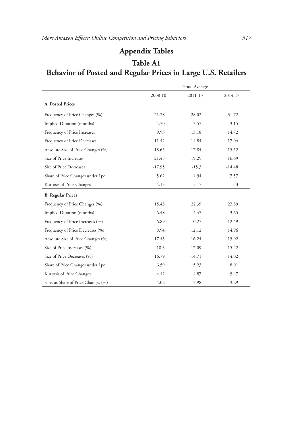# **Appendix Tables**

# Period Averages 2008-10 2011-13 2014-17 **A: Posted Prices** Frequency of Price Changes (%) 21.28 28.02 31.72 Implied Duration (months) 4.70 3.57 3.15 Frequency of Price Increases 9.93 13.18 14.72 Frequency of Price Decreases 11.42 14.84 17.04 Absolute Size of Price Changes (%) 18.65 17.84 15.52 Size of Price Increases 21.45 19.29 16.69 Size of Price Decreases -17.95 -15.3 -14.48 Share of Price Changes under 1pc 5.62 4.94 7.57 Kurtosis of Price Changes 4.13 5.3 **B: Regular Prices** Frequency of Price Changes (%) 15.43 22.39 27.39 Implied Duration (months) 6.48 4.47 3.65 Frequency of Price Increases (%) 6.89 10.27 12.49 Frequency of Price Decreases (%) 8.94 12.12 14.96 Absolute Size of Price Changes (%) 17.45 16.24 15.02 Size of Price Increases (%) 18.3 17.09 15.42 Size of Price Decreases (%)  $-16.79$   $-14.71$   $-14.02$ Share of Price Changes under 1pc 6.59 6.59 5.23 8.01 Kurtosis of Price Changes 4.12 4.87 5.47 Sales as Share of Price Changes (%)  $4.02$   $3.98$   $3.29$

# **Table A1 Behavior of Posted and Regular Prices in Large U.S. Retailers**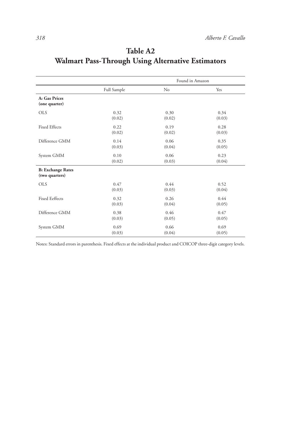|                                            | Found in Amazon |        |        |
|--------------------------------------------|-----------------|--------|--------|
|                                            | Full Sample     | No     | Yes    |
| A: Gas Prices<br>(one quarter)             |                 |        |        |
| <b>OLS</b>                                 | 0.32            | 0.30   | 0.34   |
|                                            | (0.02)          | (0.02) | (0.03) |
| <b>Fixed Effects</b>                       | 0.22            | 0.19   | 0.28   |
|                                            | (0.02)          | (0.02) | (0.03) |
| Difference GMM                             | 0.14            | 0.06   | 0.35   |
|                                            | (0.03)          | (0.04) | (0.05) |
| System GMM                                 | 0.10            | 0.06   | 0.23   |
|                                            | (0.02)          | (0.03) | (0.04) |
| <b>B: Exchange Rates</b><br>(two quarters) |                 |        |        |
| <b>OLS</b>                                 | 0.47            | 0.44   | 0.52   |
|                                            | (0.03)          | (0.03) | (0.04) |
| <b>Fixed Eeffects</b>                      | 0.32            | 0.26   | 0.44   |
|                                            | (0.03)          | (0.04) | (0.05) |
| Difference GMM                             | 0.38            | 0.46   | 0.47   |
|                                            | (0.03)          | (0.05) | (0.05) |
| System GMM                                 | 0.69            | 0.66   | 0.69   |
|                                            | (0.03)          | (0.04) | (0.05) |

# **Table A2 Walmart Pass-Through Using Alternative Estimators**

Notes: Standard errors in parenthesis. Fixed effects at the individual product and COICOP three-digit category levels.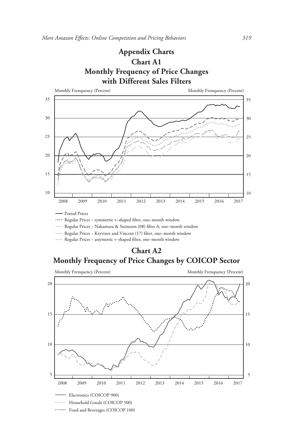# **Appendix Charts Chart A1 Monthly Frequency of Price Changes with Different Sales Filters**



Regular Prices − symmetric v−shaped filter, one−month window

Regular Prices − Nakamura & Steinsson (08) filter A, one−month window

Regular Prices − Kryvtsov and Vincent (17) filter, one−month window

Regular Prices − assymetric v−shaped filter, one−month window

**Chart A2 Monthly Frequency of Price Changes by COICOP Sector**

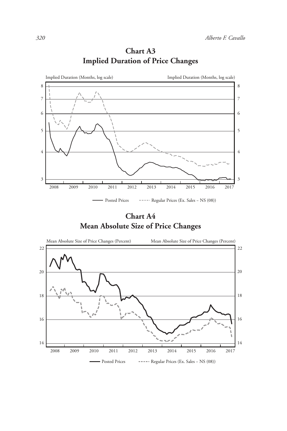

**Chart A3 Implied Duration of Price Changes**

**Chart A4 Mean Absolute Size of Price Changes**

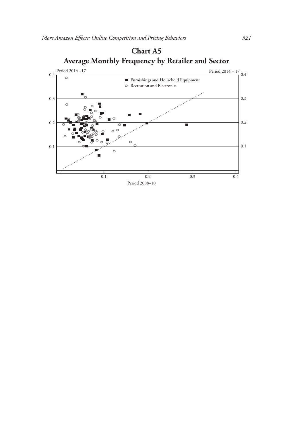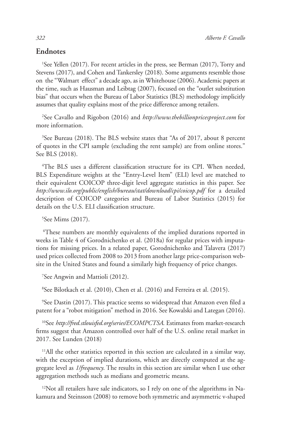#### **Endnotes**

<sup>1</sup>See Yellen (2017). For recent articles in the press, see Berman (2017), Torry and Stevens (2017), and Cohen and Tankersley (2018). Some arguments resemble those on the "Walmart effect" a decade ago, as in Whitehouse (2006). Academic papers at the time, such as Hausman and Leibtag (2007), focused on the "outlet substitution bias" that occurs when the Bureau of Labor Statistics (BLS) methodology implicitly assumes that quality explains most of the price difference among retailers.

2 See Cavallo and Rigobon (2016) and *http://www.thebillionpricesproject.com* for more information.

<sup>3</sup>See Bureau (2018). The BLS website states that "As of 2017, about 8 percent of quotes in the CPI sample (excluding the rent sample) are from online stores." See BLS (2018).

4 The BLS uses a different classification structure for its CPI. When needed, BLS Expenditure weights at the "Entry-Level Item" (ELI) level are matched to their equivalent COICOP three-digit level aggregate statistics in this paper. See *http://www.ilo.org/public/english/bureau/stat/download/cpi/coicop.pdf* for a detailed description of COICOP categories and Bureau of Labor Statistics (2015) for details on the U.S. ELI classification structure.

5 See Mims (2017).

 6These numbers are monthly equivalents of the implied durations reported in weeks in Table 4 of Gorodnichenko et al. (2018a) for regular prices with imputations for missing prices. In a related paper, Gorodnichenko and Talavera (2017) used prices collected from 2008 to 2013 from another large price-comparison website in the United States and found a similarly high frequency of price changes.

7 See Angwin and Mattioli (2012).

8 See Bilotkach et al. (2010), Chen et al. (2016) and Ferreira et al. (2015).

9 See Dastin (2017). This practice seems so widespread that Amazon even filed a patent for a "robot mitigation" method in 2016. See Kowalski and Lategan (2016).

10See *http://fred.stlouisfed.org/series/ECOMPCTSA*. Estimates from market-research firms suggest that Amazon controlled over half of the U.S. online retail market in 2017. See Lunden (2018)

11All the other statistics reported in this section are calculated in a similar way, with the exception of implied durations, which are directly computed at the aggregate level as *1/frequency*. The results in this section are similar when I use other aggregation methods such as medians and geometric means.

 $12$ Not all retailers have sale indicators, so I rely on one of the algorithms in Nakamura and Steinsson (2008) to remove both symmetric and asymmetric v-shaped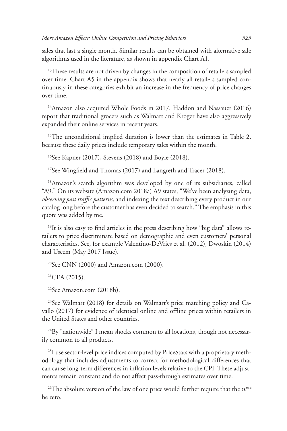sales that last a single month. Similar results can be obtained with alternative sale algorithms used in the literature, as shown in appendix Chart A1.

<sup>13</sup>These results are not driven by changes in the composition of retailers sampled over time. Chart A5 in the appendix shows that nearly all retailers sampled continuously in these categories exhibit an increase in the frequency of price changes over time.

<sup>14</sup>Amazon also acquired Whole Foods in 2017. Haddon and Nassauer (2016) report that traditional grocers such as Walmart and Kroger have also aggressively expanded their online services in recent years.

<sup>15</sup>The unconditional implied duration is lower than the estimates in Table 2, because these daily prices include temporary sales within the month.

16See Kapner (2017), Stevens (2018) and Boyle (2018).

17See Wingfield and Thomas (2017) and Langreth and Tracer (2018).

18Amazon's search algorithm was developed by one of its subsidiaries, called "A9." On its website (Amazon.com 2018a) A9 states, "We've been analyzing data, *observing past traffic patterns,* and indexing the text describing every product in our catalog long before the customer has even decided to search." The emphasis in this quote was added by me.

 $19$ It is also easy to find articles in the press describing how "big data" allows retailers to price discriminate based on demographic and even customers' personal characteristics. See, for example Valentino-DeVries et al. (2012), Dwoskin (2014) and Useem (May 2017 Issue).

 $20$ See CNN (2000) and Amazon.com (2000).

 $^{21}$ CEA (2015).

22See Amazon.com (2018b).

<sup>23</sup>See Walmart (2018) for details on Walmart's price matching policy and Cavallo (2017) for evidence of identical online and offline prices within retailers in the United States and other countries.

<sup>24</sup>By "nationwide" I mean shocks common to all locations, though not necessarily common to all products.

<sup>25</sup>I use sector-level price indices computed by PriceStats with a proprietary methodology that includes adjustments to correct for methodological differences that can cause long-term differences in inflation levels relative to the CPI. These adjustments remain constant and do not affect pass-through estimates over time.

<sup>26</sup>The absolute version of the law of one price would further require that the  $\alpha^{usz}$ be zero.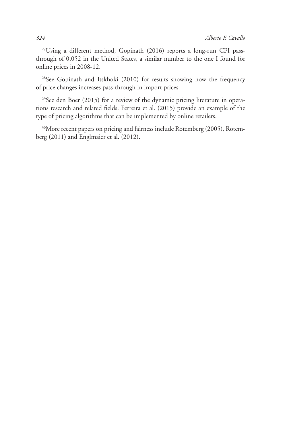27 Using a different method, Gopinath (2016) reports a long-run CPI passthrough of 0.052 in the United States, a similar number to the one I found for online prices in 2008-12.

<sup>28</sup>See Gopinath and Itskhoki (2010) for results showing how the frequency of price changes increases pass-through in import prices.

29See den Boer (2015) for a review of the dynamic pricing literature in operations research and related fields. Ferreira et al. (2015) provide an example of the type of pricing algorithms that can be implemented by online retailers.

<sup>30</sup>More recent papers on pricing and fairness include Rotemberg (2005), Rotemberg (2011) and Englmaier et al. (2012).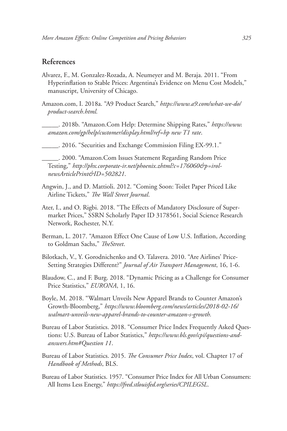#### **References**

- Alvarez, F., M. Gonzalez-Rozada, A. Neumeyer and M. Beraja. 2011. "From Hyperinflation to Stable Prices: Argentina's Evidence on Menu Cost Models," manuscript, University of Chicago.
- Amazon.com, I. 2018a. "A9 Product Search," *https://www.a9.com/what-we-do/ product-search.html.*
- \_\_\_\_\_. 2018b. "Amazon.Com Help: Determine Shipping Rates," *https://www. amazon.com/gp/help/customer/display.html/ref=hp new T1 rate*.
- \_\_\_\_\_. 2016. "Securities and Exchange Commission Filing EX-99.1."

\_\_\_\_\_. 2000. "Amazon.Com Issues Statement Regarding Random Price Testing," *http://phx.corporate-ir.net/phoenix.zhtml?c=176060&p=irolnewsArticlePrint&ID=502821*.

- Angwin, J., and D. Mattioli. 2012. "Coming Soon: Toilet Paper Priced Like Airline Tickets," *The Wall Street Journal*.
- Ater, I., and O. Rigbi. 2018. "The Effects of Mandatory Disclosure of Supermarket Prices," SSRN Scholarly Paper ID 3178561, Social Science Research Network, Rochester, N.Y.
- Berman, L. 2017. "Amazon Effect One Cause of Low U.S. Inflation, According to Goldman Sachs," *TheStreet*.
- Bilotkach, V., Y. Gorodnichenko and O. Talavera. 2010. "Are Airlines' Price-Setting Strategies Different?" *Journal of Air Transport Management*, 16, 1-6.
- Blaudow, C., and F. Burg. 2018. "Dynamic Pricing as a Challenge for Consumer Price Statistics," *EURONA*, 1, 16.
- Boyle, M. 2018. "Walmart Unveils New Apparel Brands to Counter Amazon's Growth-Bloomberg," *https://www.bloomberg.com/news/articles/2018-02-16/ walmart-unveils-new-apparel-brands-to-counter-amazon-s-growth.*
- Bureau of Labor Statistics. 2018. "Consumer Price Index Frequently Asked Questions: U.S. Bureau of Labor Statistics," *https://www.bls.gov/cpi/questions-andanswers.htm#Question 11*.
- Bureau of Labor Statistics. 2015. *The Consumer Price Index*, vol. Chapter 17 of *Handbook of Methods*, BLS.
- Bureau of Labor Statistics. 1957. "Consumer Price Index for All Urban Consumers: All Items Less Energy," *https://fred.stlouisfed.org/series/CPILEGSL*.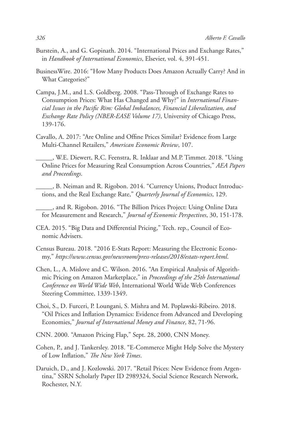- Burstein, A., and G. Gopinath. 2014. "International Prices and Exchange Rates," in *Handbook of International Economics*, Elsevier, vol. 4, 391-451.
- BusinessWire. 2016: "How Many Products Does Amazon Actually Carry? And in What Categories?"
- Campa, J.M., and L.S. Goldberg. 2008. "Pass-Through of Exchange Rates to Consumption Prices: What Has Changed and Why?" in *International Financial Issues in the Pacific Rim: Global Imbalances, Financial Liberalization, and Exchange Rate Policy (NBER-EASE Volume 17)*, University of Chicago Press, 139-176.
- Cavallo, A. 2017: "Are Online and Offine Prices Similar? Evidence from Large Multi-Channel Retailers," *American Economic Review*, 107.
	- \_\_\_\_\_, W.E. Diewert, R.C. Feenstra, R. Inklaar and M.P. Timmer. 2018. "Using Online Prices for Measuring Real Consumption Across Countries," *AEA Papers and Proceedings*.
- \_\_\_\_\_, B. Neiman and R. Rigobon. 2014. "Currency Unions, Product Introductions, and the Real Exchange Rate," *Quarterly Journal of Economics*, 129.
- \_\_\_\_\_, and R. Rigobon. 2016. "The Billion Prices Project: Using Online Data for Measurement and Research," *Journal of Economic Perspectives*, 30, 151-178.
- CEA. 2015. "Big Data and Differential Pricing," Tech. rep., Council of Economic Advisers.
- Census Bureau. 2018. "2016 E-Stats Report: Measuring the Electronic Economy," *https://www.census.gov/newsroom/press-releases/2018/estats-report.html*.
- Chen, L., A. Mislove and C. Wilson. 2016. "An Empirical Analysis of Algorithmic Pricing on Amazon Marketplace," in *Proceedings of the 25th International Conference on World Wide Web*, International World Wide Web Conferences Steering Committee, 1339-1349.
- Choi, S., D. Furceri, P. Loungani, S. Mishra and M. Poplawski-Ribeiro. 2018. "Oil Prices and Inflation Dynamics: Evidence from Advanced and Developing Economies," *Journal of International Money and Finance*, 82, 71-96.
- CNN. 2000. "Amazon Pricing Flap," Sept. 28, 2000, CNN Money.
- Cohen, P., and J. Tankersley. 2018. "E-Commerce Might Help Solve the Mystery of Low Inflation," *The New York Times*.
- Daruich, D., and J. Kozlowski. 2017. "Retail Prices: New Evidence from Argentina," SSRN Scholarly Paper ID 2989324, Social Science Research Network, Rochester, N.Y.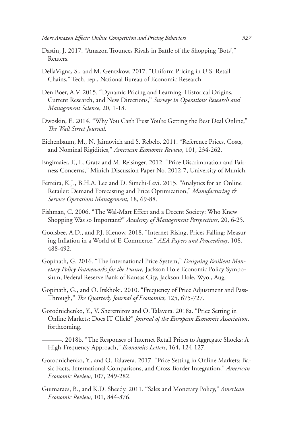- Dastin, J. 2017. "Amazon Trounces Rivals in Battle of the Shopping 'Bots'," Reuters.
- DellaVigna, S., and M. Gentzkow. 2017. "Uniform Pricing in U.S. Retail Chains," Tech. rep., National Bureau of Economic Research.
- Den Boer, A.V. 2015. "Dynamic Pricing and Learning: Historical Origins, Current Research, and New Directions," *Surveys in Operations Research and Management Science*, 20, 1-18.
- Dwoskin, E. 2014. "Why You Can't Trust You're Getting the Best Deal Online," *The Wall Street Journal*.
- Eichenbaum, M., N. Jaimovich and S. Rebelo. 2011. "Reference Prices, Costs, and Nominal Rigidities," *American Economic Review*, 101, 234-262.
- Englmaier, F., L. Gratz and M. Reisinger. 2012. "Price Discrimination and Fairness Concerns," Minich Discussion Paper No. 2012-7, University of Munich.
- Ferreira, K.J., B.H.A. Lee and D. Simchi-Levi. 2015. "Analytics for an Online Retailer: Demand Forecasting and Price Optimization," *Manufacturing & Service Operations Management*, 18, 69-88.
- Fishman, C. 2006. "The Wal-Mart Effect and a Decent Society: Who Knew Shopping Was so Important?" *Academy of Management Perspectives*, 20, 6-25.
- Goolsbee, A.D., and P.J. Klenow. 2018. "Internet Rising, Prices Falling: Measuring Inflation in a World of E-Commerce," *AEA Papers and Proceedings*, 108, 488-492.
- Gopinath, G. 2016. "The International Price System," *Designing Resilient Monetary Policy Frameworks for the Future,* Jackson Hole Economic Policy Symposium, Federal Reserve Bank of Kansas City, Jackson Hole, Wyo., Aug.
- Gopinath, G., and O. Itskhoki. 2010. "Frequency of Price Adjustment and Pass-Through," *The Quarterly Journal of Economics*, 125, 675-727.
- Gorodnichenko, Y., V. Sheremirov and O. Talavera. 2018a. "Price Setting in Online Markets: Does IT Click?" *Journal of the European Economic Association*, forthcoming.
- ———. 2018b. "The Responses of Internet Retail Prices to Aggregate Shocks: A High-Frequency Approach," *Economics Letters*, 164, 124-127.
- Gorodnichenko, Y., and O. Talavera. 2017. "Price Setting in Online Markets: Basic Facts, International Comparisons, and Cross-Border Integration," *American Economic Review*, 107, 249-282.
- Guimaraes, B., and K.D. Sheedy. 2011. "Sales and Monetary Policy," *American Economic Review*, 101, 844-876.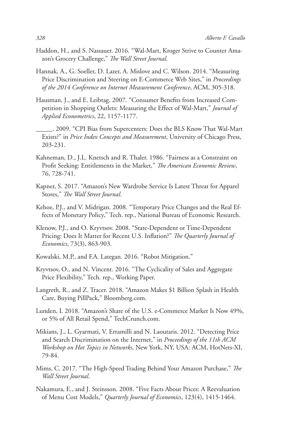- Haddon, H., and S. Nassauer. 2016. "Wal-Mart, Kroger Strive to Counter Amazon's Grocery Challenge," *The Wall Street Journal*.
- Hannak, A., G. Soeller, D. Lazer, A. Mislove and C. Wilson. 2014. "Measuring Price Discrimination and Steering on E-Commerce Web Sites," in *Proceedings of the 2014 Conference on Internet Measurement Conference*, ACM, 305-318.
- Hausman, J., and E. Leibtag. 2007. "Consumer Benefits from Increased Competition in Shopping Outlets: Measuring the Effect of Wal-Mart," *Journal of Applied Econometrics*, 22, 1157-1177.
- \_\_\_\_\_. 2009. "CPI Bias from Supercenters: Does the BLS Know That Wal-Mart Exists?" in *Price Index Concepts and Measurement*, University of Chicago Press, 203-231.
- Kahneman, D., J.L. Knetsch and R. Thaler. 1986. "Fairness as a Constraint on Profit Seeking: Entitlements in the Market," *The American Economic Review*, 76, 728-741.
- Kapner, S. 2017. "Amazon's New Wardrobe Service Is Latest Threat for Apparel Stores," *The Wall Street Journal*.
- Kehoe, P.J., and V. Midrigan. 2008. "Temporary Price Changes and the Real Effects of Monetary Policy," Tech. rep., National Bureau of Economic Research.
- Klenow, P.J., and O. Kryvtsov. 2008. "State-Dependent or Time-Dependent Pricing: Does It Matter for Recent U.S. Inflation?" *The Quarterly Journal of Economics*, 73(3), 863-903.
- Kowalski, M.P., and F.A. Lategan. 2016. "Robot Mitigation."
- Kryvtsov, O., and N. Vincent. 2016. "The Cyclicality of Sales and Aggregate Price Flexibility," Tech. rep., Working Paper.
- Langreth, R., and Z. Tracer. 2018. "Amazon Makes \$1 Billion Splash in Health Care, Buying PillPack," Bloomberg.com.
- Lunden, I. 2018. "Amazon's Share of the U.S. e-Commerce Market Is Now 49%, or 5% of All Retail Spend," TechCrunch.com.
- Mikians, J., L. Gyarmati, V. Erramilli and N. Laoutaris. 2012. "Detecting Price and Search Discrimination on the Internet," in *Proceedings of the 11th ACM Workshop on Hot Topics in Networks*, New York, NY, USA: ACM, HotNets-XI, 79-84.
- Mims, C. 2017. "The High-Speed Trading Behind Your Amazon Purchase," *The Wall Street Journal*.
- Nakamura, E., and J. Steinsson. 2008. "Five Facts About Prices: A Reevaluation of Menu Cost Models," *Quarterly Journal of Economics*, 123(4), 1415-1464.